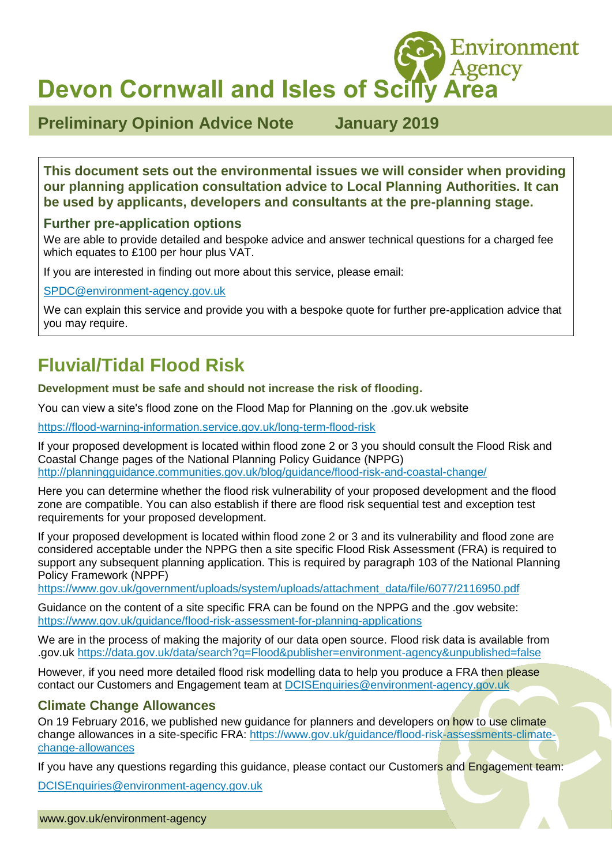**Devon Cornwall and Isles of Scilly Area**

**Preliminary Opinion Advice Note January 2019** 

Environment

**This document sets out the environmental issues we will consider when providing our planning application consultation advice to Local Planning Authorities. It can be used by applicants, developers and consultants at the pre-planning stage.**

#### **Further pre-application options**

We are able to provide detailed and bespoke advice and answer technical questions for a charged fee which equates to £100 per hour plus VAT.

If you are interested in finding out more about this service, please email:

[SPDC@environment-agency.gov.uk](mailto:SPDC@environment-agency.gov.uk)

We can explain this service and provide you with a bespoke quote for further pre-application advice that you may require.

# **Fluvial/Tidal Flood Risk**

**Development must be safe and should not increase the risk of flooding.**

You can view a site's flood zone on the Flood Map for Planning on the .gov.uk website

<https://flood-warning-information.service.gov.uk/long-term-flood-risk>

If your proposed development is located within flood zone 2 or 3 you should consult the Flood Risk and Coastal Change pages of the National Planning Policy Guidance (NPPG) <http://planningguidance.communities.gov.uk/blog/guidance/flood-risk-and-coastal-change/>

Here you can determine whether the flood risk vulnerability of your proposed development and the flood zone are compatible. You can also establish if there are flood risk sequential test and exception test requirements for your proposed development.

If your proposed development is located within flood zone 2 or 3 and its vulnerability and flood zone are considered acceptable under the NPPG then a site specific Flood Risk Assessment (FRA) is required to support any subsequent planning application. This is required by paragraph 103 of the National Planning Policy Framework (NPPF)

[https://www.gov.uk/government/uploads/system/uploads/attachment\\_data/file/6077/2116950.pdf](https://www.gov.uk/government/uploads/system/uploads/attachment_data/file/6077/2116950.pdf)

Guidance on the content of a site specific FRA can be found on the NPPG and the .gov website: <https://www.gov.uk/guidance/flood-risk-assessment-for-planning-applications>

We are in the process of making the majority of our data open source. Flood risk data is available from .gov.uk <https://data.gov.uk/data/search?q=Flood&publisher=environment-agency&unpublished=false>

However, if you need more detailed flood risk modelling data to help you produce a FRA then please contact our Customers and Engagement team at [DCISEnquiries@environment-agency.gov.uk](mailto:DCISEnquiries@environment-agency.gov.uk)

### **Climate Change Allowances**

On 19 February 2016, we published new guidance for planners and developers on how to use climate change allowances in a site-specific FRA: [https://www.gov.uk/guidance/flood-risk-assessments-climate](https://www.gov.uk/guidance/flood-risk-assessments-climate-change-allowances)[change-allowances](https://www.gov.uk/guidance/flood-risk-assessments-climate-change-allowances)

If you have any questions regarding this guidance, please contact our Customers and Engagement team:

[DCISEnquiries@environment-agency.gov.uk](mailto:DCISEnquiries@environment-agency.gov.uk)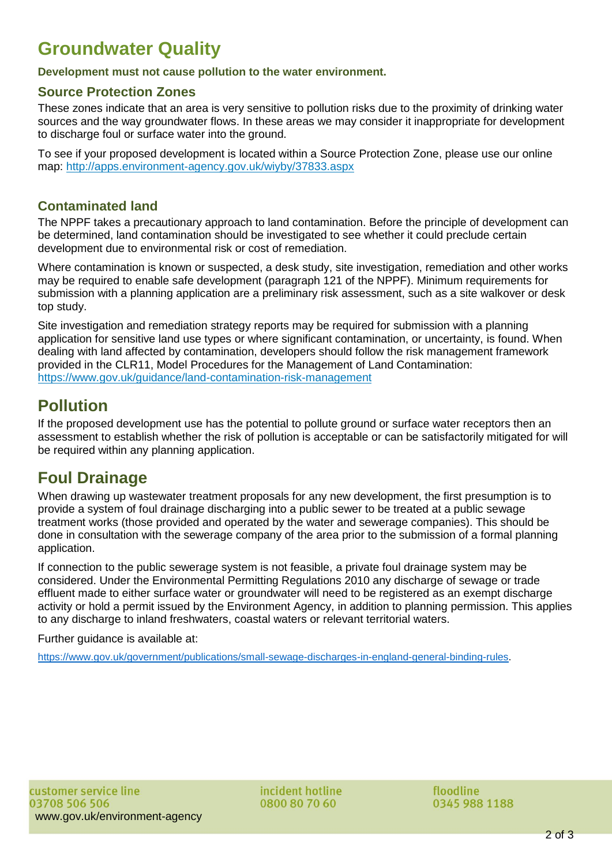## **Groundwater Quality**

**Development must not cause pollution to the water environment.**

#### **Source Protection Zones**

These zones indicate that an area is very sensitive to pollution risks due to the proximity of drinking water sources and the way groundwater flows. In these areas we may consider it inappropriate for development to discharge foul or surface water into the ground.

To see if your proposed development is located within a Source Protection Zone, please use our online map: <http://apps.environment-agency.gov.uk/wiyby/37833.aspx>

### **Contaminated land**

The NPPF takes a precautionary approach to land contamination. Before the principle of development can be determined, land contamination should be investigated to see whether it could preclude certain development due to environmental risk or cost of remediation.

Where contamination is known or suspected, a desk study, site investigation, remediation and other works may be required to enable safe development (paragraph 121 of the NPPF). Minimum requirements for submission with a planning application are a preliminary risk assessment, such as a site walkover or desk top study.

Site investigation and remediation strategy reports may be required for submission with a planning application for sensitive land use types or where significant contamination, or uncertainty, is found. When dealing with land affected by contamination, developers should follow the risk management framework provided in the CLR11, Model Procedures for the Management of Land Contamination: https://www.gov.uk/guidance/land-contamination-risk-management

### **Pollution**

If the proposed development use has the potential to pollute ground or surface water receptors then an assessment to establish whether the risk of pollution is acceptable or can be satisfactorily mitigated for will be required within any planning application.

### **Foul Drainage**

When drawing up wastewater treatment proposals for any new development, the first presumption is to provide a system of foul drainage discharging into a public sewer to be treated at a public sewage treatment works (those provided and operated by the water and sewerage companies). This should be done in consultation with the sewerage company of the area prior to the submission of a formal planning application.

If connection to the public sewerage system is not feasible, a private foul drainage system may be considered. Under the Environmental Permitting Regulations 2010 any discharge of sewage or trade effluent made to either surface water or groundwater will need to be registered as an exempt discharge activity or hold a permit issued by the Environment Agency, in addition to planning permission. This applies to any discharge to inland freshwaters, coastal waters or relevant territorial waters.

Further guidance is available at:

[https://www.gov.uk/government/publications/small-sewage-discharges-in-england-general-binding-rules.](https://www.gov.uk/government/publications/small-sewage-discharges-in-england-general-binding-rules)

incident hotline 0800 80 70 60